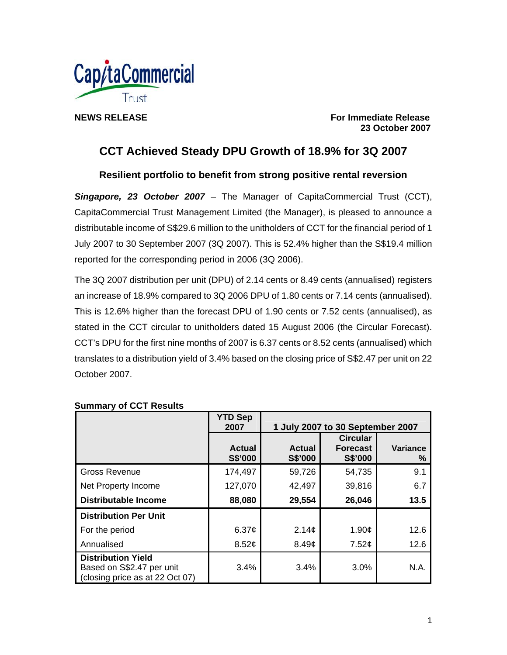

**NEWS RELEASE** For Immediate Release **For Immediate Release 23 October 2007** 

# **CCT Achieved Steady DPU Growth of 18.9% for 3Q 2007**

**Resilient portfolio to benefit from strong positive rental reversion** 

*Singapore, 23 October 2007* – The Manager of CapitaCommercial Trust (CCT), CapitaCommercial Trust Management Limited (the Manager), is pleased to announce a distributable income of S\$29.6 million to the unitholders of CCT for the financial period of 1 July 2007 to 30 September 2007 (3Q 2007). This is 52.4% higher than the S\$19.4 million reported for the corresponding period in 2006 (3Q 2006).

The 3Q 2007 distribution per unit (DPU) of 2.14 cents or 8.49 cents (annualised) registers an increase of 18.9% compared to 3Q 2006 DPU of 1.80 cents or 7.14 cents (annualised). This is 12.6% higher than the forecast DPU of 1.90 cents or 7.52 cents (annualised), as stated in the CCT circular to unitholders dated 15 August 2006 (the Circular Forecast). CCT's DPU for the first nine months of 2007 is 6.37 cents or 8.52 cents (annualised) which translates to a distribution yield of 3.4% based on the closing price of S\$2.47 per unit on 22 October 2007.

|                                                                                           | <b>YTD Sep</b><br>2007   | 1 July 2007 to 30 September 2007 |                                                      |               |
|-------------------------------------------------------------------------------------------|--------------------------|----------------------------------|------------------------------------------------------|---------------|
|                                                                                           | <b>Actual</b><br>S\$'000 | <b>Actual</b><br>S\$'000         | <b>Circular</b><br><b>Forecast</b><br><b>S\$'000</b> | Variance<br>% |
| <b>Gross Revenue</b>                                                                      | 174,497                  | 59,726                           | 54,735                                               | 9.1           |
| Net Property Income                                                                       | 127,070                  | 42,497                           | 39,816                                               | 6.7           |
| <b>Distributable Income</b>                                                               | 88,080                   | 29,554                           | 26,046                                               | 13.5          |
| <b>Distribution Per Unit</b>                                                              |                          |                                  |                                                      |               |
| For the period                                                                            | 6.37 $\phi$              | 2.14 <sub>c</sub>                | 1.90¢                                                | 12.6          |
| Annualised                                                                                | 8.52¢                    | 8.49 <sub>¢</sub>                | 7.52¢                                                | 12.6          |
| <b>Distribution Yield</b><br>Based on S\$2.47 per unit<br>(closing price as at 22 Oct 07) | 3.4%                     | 3.4%                             | 3.0%                                                 | N.A.          |

## **Summary of CCT Results**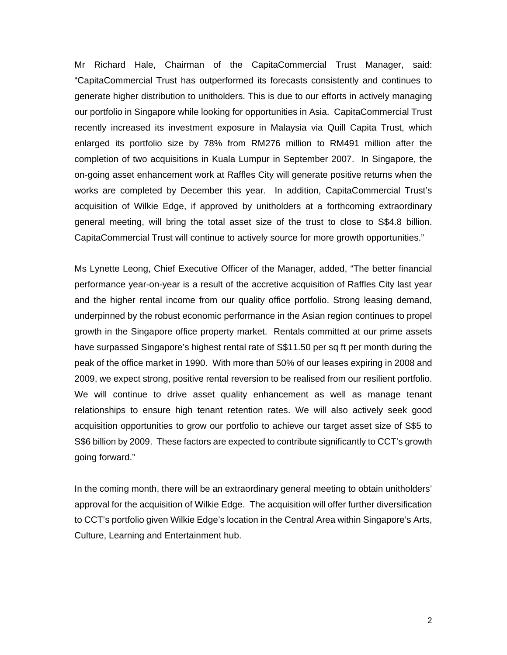Mr Richard Hale, Chairman of the CapitaCommercial Trust Manager, said: "CapitaCommercial Trust has outperformed its forecasts consistently and continues to generate higher distribution to unitholders. This is due to our efforts in actively managing our portfolio in Singapore while looking for opportunities in Asia. CapitaCommercial Trust recently increased its investment exposure in Malaysia via Quill Capita Trust, which enlarged its portfolio size by 78% from RM276 million to RM491 million after the completion of two acquisitions in Kuala Lumpur in September 2007. In Singapore, the on-going asset enhancement work at Raffles City will generate positive returns when the works are completed by December this year. In addition, CapitaCommercial Trust's acquisition of Wilkie Edge, if approved by unitholders at a forthcoming extraordinary general meeting, will bring the total asset size of the trust to close to S\$4.8 billion. CapitaCommercial Trust will continue to actively source for more growth opportunities."

Ms Lynette Leong, Chief Executive Officer of the Manager, added, "The better financial performance year-on-year is a result of the accretive acquisition of Raffles City last year and the higher rental income from our quality office portfolio. Strong leasing demand, underpinned by the robust economic performance in the Asian region continues to propel growth in the Singapore office property market. Rentals committed at our prime assets have surpassed Singapore's highest rental rate of S\$11.50 per sq ft per month during the peak of the office market in 1990. With more than 50% of our leases expiring in 2008 and 2009, we expect strong, positive rental reversion to be realised from our resilient portfolio. We will continue to drive asset quality enhancement as well as manage tenant relationships to ensure high tenant retention rates. We will also actively seek good acquisition opportunities to grow our portfolio to achieve our target asset size of S\$5 to S\$6 billion by 2009. These factors are expected to contribute significantly to CCT's growth going forward."

In the coming month, there will be an extraordinary general meeting to obtain unitholders' approval for the acquisition of Wilkie Edge. The acquisition will offer further diversification to CCT's portfolio given Wilkie Edge's location in the Central Area within Singapore's Arts, Culture, Learning and Entertainment hub.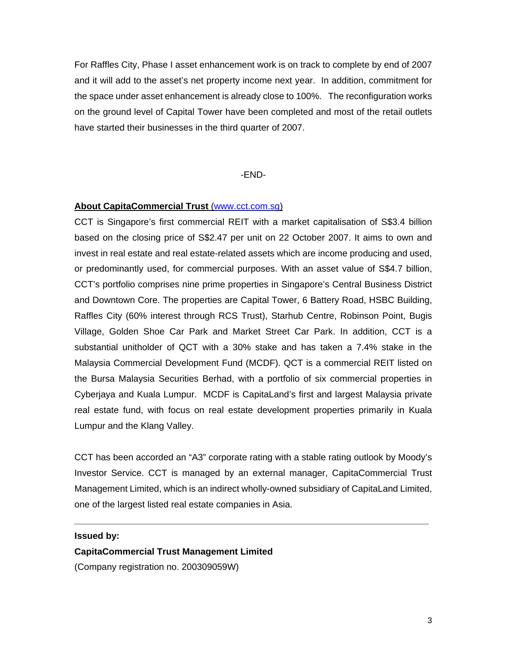For Raffles City, Phase I asset enhancement work is on track to complete by end of 2007 and it will add to the asset's net property income next year. In addition, commitment for the space under asset enhancement is already close to 100%. The reconfiguration works on the ground level of Capital Tower have been completed and most of the retail outlets have started their businesses in the third quarter of 2007.

#### -END-

## **About CapitaCommercial Trust** (www.cct.com.sg)

CCT is Singapore's first commercial REIT with a market capitalisation of S\$3.4 billion based on the closing price of S\$2.47 per unit on 22 October 2007. It aims to own and invest in real estate and real estate-related assets which are income producing and used, or predominantly used, for commercial purposes. With an asset value of S\$4.7 billion, CCT's portfolio comprises nine prime properties in Singapore's Central Business District and Downtown Core. The properties are Capital Tower, 6 Battery Road, HSBC Building, Raffles City (60% interest through RCS Trust), Starhub Centre, Robinson Point, Bugis Village, Golden Shoe Car Park and Market Street Car Park. In addition, CCT is a substantial unitholder of QCT with a 30% stake and has taken a 7.4% stake in the Malaysia Commercial Development Fund (MCDF). QCT is a commercial REIT listed on the Bursa Malaysia Securities Berhad, with a portfolio of six commercial properties in Cyberjaya and Kuala Lumpur. MCDF is CapitaLand's first and largest Malaysia private real estate fund, with focus on real estate development properties primarily in Kuala Lumpur and the Klang Valley.

CCT has been accorded an "A3" corporate rating with a stable rating outlook by Moody's Investor Service. CCT is managed by an external manager, CapitaCommercial Trust Management Limited, which is an indirect wholly-owned subsidiary of CapitaLand Limited, one of the largest listed real estate companies in Asia.

**\_\_\_\_\_\_\_\_\_\_\_\_\_\_\_\_\_\_\_\_\_\_\_\_\_\_\_\_\_\_\_\_\_\_\_\_\_\_\_\_\_\_\_\_\_\_\_\_\_\_\_\_\_\_\_\_\_\_\_\_\_\_\_\_\_\_\_\_\_\_** 

### **Issued by:**

**CapitaCommercial Trust Management Limited**  (Company registration no. 200309059W)